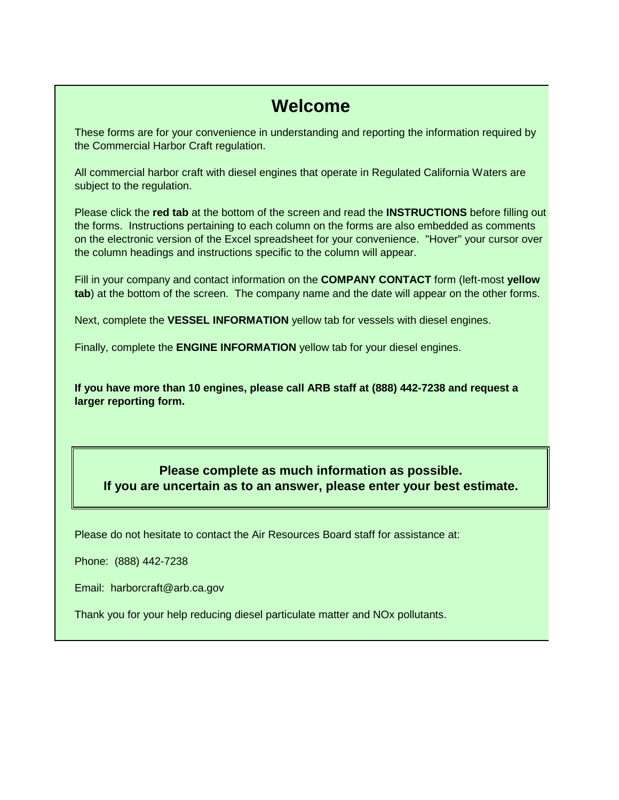# **Welcome**

These forms are for your convenience in understanding and reporting the information required by the Commercial Harbor Craft regulation.

All commercial harbor craft with diesel engines that operate in Regulated California Waters are subject to the regulation.

Please click the **red tab** at the bottom of the screen and read the **INSTRUCTIONS** before filling out the forms. Instructions pertaining to each column on the forms are also embedded as comments on the electronic version of the Excel spreadsheet for your convenience. "Hover" your cursor over the column headings and instructions specific to the column will appear.

Fill in your company and contact information on the **COMPANY CONTACT** form (left-most **yellow tab**) at the bottom of the screen. The company name and the date will appear on the other forms.

Next, complete the **VESSEL INFORMATION** yellow tab for vessels with diesel engines.

Finally, complete the **ENGINE INFORMATION** yellow tab for your diesel engines.

**If you have more than 10 engines, please call ARB staff at (888) 442-7238 and request a larger reporting form.**

**Please complete as much information as possible. If you are uncertain as to an answer, please enter your best estimate.**

Please do not hesitate to contact the Air Resources Board staff for assistance at:

Phone: (888) 442-7238

Email: harborcraft@arb.ca.gov

Thank you for your help reducing diesel particulate matter and NOx pollutants.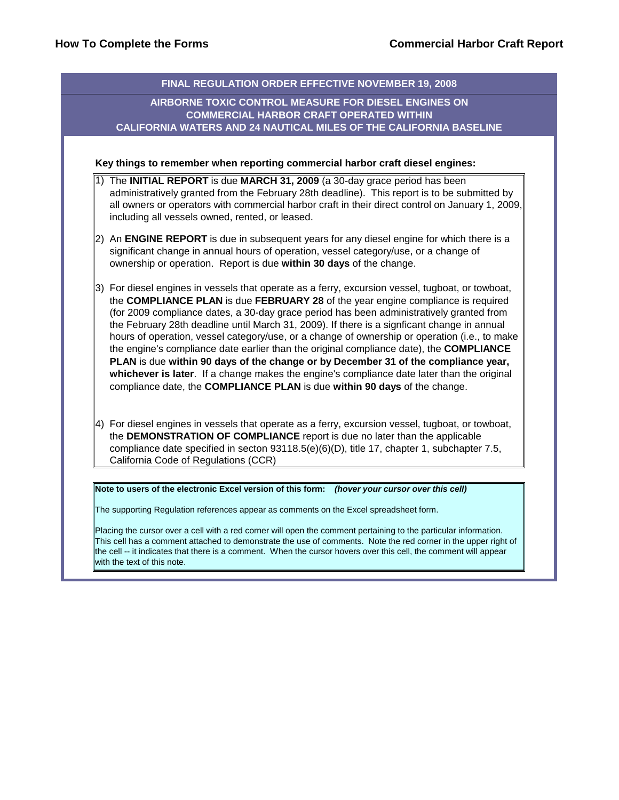|    | Key things to remember when reporting commercial harbor craft diesel engines:                                                                                                                                                                                                                                                                                                                                                                                                                                                                                                                                                                                                                                                                                                                                                             |
|----|-------------------------------------------------------------------------------------------------------------------------------------------------------------------------------------------------------------------------------------------------------------------------------------------------------------------------------------------------------------------------------------------------------------------------------------------------------------------------------------------------------------------------------------------------------------------------------------------------------------------------------------------------------------------------------------------------------------------------------------------------------------------------------------------------------------------------------------------|
|    | The INITIAL REPORT is due MARCH 31, 2009 (a 30-day grace period has been<br>administratively granted from the February 28th deadline). This report is to be submitted by<br>all owners or operators with commercial harbor craft in their direct control on January 1, 2009,<br>including all vessels owned, rented, or leased.                                                                                                                                                                                                                                                                                                                                                                                                                                                                                                           |
| 2) | An ENGINE REPORT is due in subsequent years for any diesel engine for which there is a<br>significant change in annual hours of operation, vessel category/use, or a change of<br>ownership or operation. Report is due within 30 days of the change.                                                                                                                                                                                                                                                                                                                                                                                                                                                                                                                                                                                     |
| 3) | For diesel engines in vessels that operate as a ferry, excursion vessel, tugboat, or towboat,<br>the COMPLIANCE PLAN is due FEBRUARY 28 of the year engine compliance is required<br>(for 2009 compliance dates, a 30-day grace period has been administratively granted from<br>the February 28th deadline until March 31, 2009). If there is a signficant change in annual<br>hours of operation, vessel category/use, or a change of ownership or operation (i.e., to make<br>the engine's compliance date earlier than the original compliance date), the COMPLIANCE<br>PLAN is due within 90 days of the change or by December 31 of the compliance year,<br>whichever is later. If a change makes the engine's compliance date later than the original<br>compliance date, the COMPLIANCE PLAN is due within 90 days of the change. |
|    | 4) For diesel engines in vessels that operate as a ferry, excursion vessel, tugboat, or towboat,<br>the DEMONSTRATION OF COMPLIANCE report is due no later than the applicable<br>compliance date specified in secton 93118.5(e)(6)(D), title 17, chapter 1, subchapter 7.5,<br>California Code of Regulations (CCR)                                                                                                                                                                                                                                                                                                                                                                                                                                                                                                                      |

This cell has a comment attached to demonstrate the use of comments. Note the red corner in the upper right of the cell -- it indicates that there is a comment. When the cursor hovers over this cell, the comment will appear with the text of this note.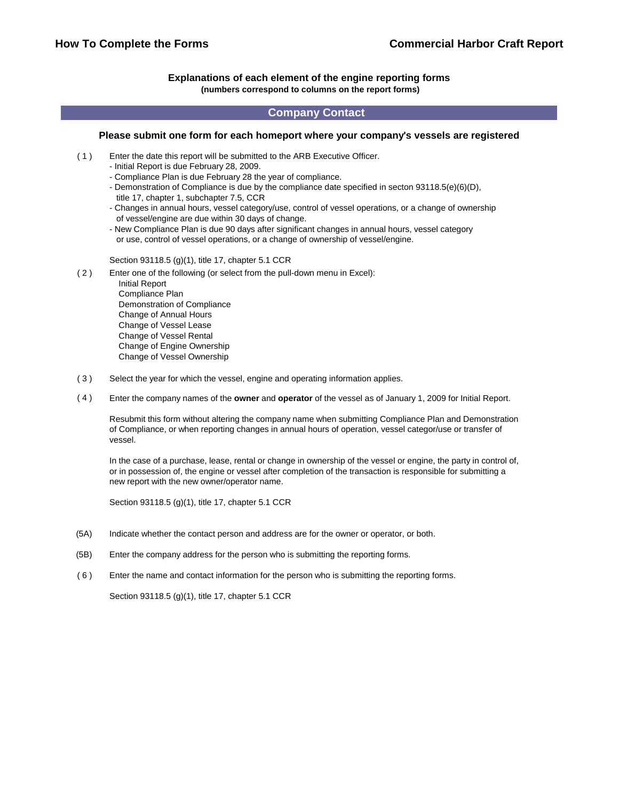#### **Explanations of each element of the engine reporting forms (numbers correspond to columns on the report forms)**

#### **Company Contact**

#### **Please submit one form for each homeport where your company's vessels are registered**

- $(1)$ Enter the date this report will be submitted to the ARB Executive Officer.
	- Initial Report is due February 28, 2009.
	- Compliance Plan is due February 28 the year of compliance.
	- Demonstration of Compliance is due by the compliance date specified in secton 93118.5(e)(6)(D), title 17, chapter 1, subchapter 7.5, CCR
	- Changes in annual hours, vessel category/use, control of vessel operations, or a change of ownership of vessel/engine are due within 30 days of change.
	- New Compliance Plan is due 90 days after significant changes in annual hours, vessel category or use, control of vessel operations, or a change of ownership of vessel/engine.

Section 93118.5 (g)(1), title 17, chapter 5.1 CCR

( 2 ) Enter one of the following (or select from the pull-down menu in Excel):

 Initial Report Compliance Plan Demonstration of Compliance Change of Annual Hours Change of Vessel Lease Change of Vessel Rental Change of Engine Ownership Change of Vessel Ownership

- ( 3 ) Select the year for which the vessel, engine and operating information applies.
- ( 4 ) Enter the company names of the **owner** and **operator** of the vessel as of January 1, 2009 for Initial Report.

Resubmit this form without altering the company name when submitting Compliance Plan and Demonstration of Compliance, or when reporting changes in annual hours of operation, vessel categor/use or transfer of vessel.

In the case of a purchase, lease, rental or change in ownership of the vessel or engine, the party in control of, or in possession of, the engine or vessel after completion of the transaction is responsible for submitting a new report with the new owner/operator name.

Section 93118.5 (g)(1), title 17, chapter 5.1 CCR

- (5A) Indicate whether the contact person and address are for the owner or operator, or both.
- (5B) Enter the company address for the person who is submitting the reporting forms.
- ( 6 ) Enter the name and contact information for the person who is submitting the reporting forms.

Section 93118.5 (g)(1), title 17, chapter 5.1 CCR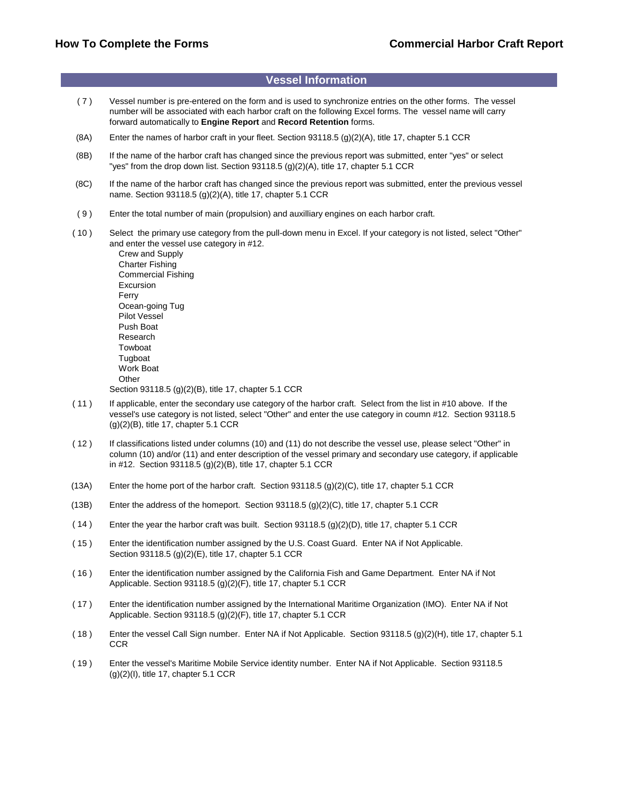### **Vessel Information**

- ( 7 ) Vessel number is pre-entered on the form and is used to synchronize entries on the other forms. The vessel number will be associated with each harbor craft on the following Excel forms. The vessel name will carry forward automatically to **Engine Report** and **Record Retention** forms.
- (8A) Enter the names of harbor craft in your fleet. Section 93118.5 (g)(2)(A), title 17, chapter 5.1 CCR
- (8B) If the name of the harbor craft has changed since the previous report was submitted, enter "yes" or select "yes" from the drop down list. Section 93118.5 (g)(2)(A), title 17, chapter 5.1 CCR
- (8C) If the name of the harbor craft has changed since the previous report was submitted, enter the previous vessel name. Section 93118.5 (g)(2)(A), title 17, chapter 5.1 CCR
- ( 9 ) Enter the total number of main (propulsion) and auxilliary engines on each harbor craft.
- ( 10 ) Select the primary use category from the pull-down menu in Excel. If your category is not listed, select "Other" and enter the vessel use category in #12.

 Crew and Supply Charter Fishing Commercial Fishing Excursion Ferry Ocean-going Tug Pilot Vessel Push Boat Research Towboat Tugboat Work Boat **Other** Section 93118.5 (g)(2)(B), title 17, chapter 5.1 CCR

- ( 11 ) If applicable, enter the secondary use category of the harbor craft. Select from the list in #10 above. If the vessel's use category is not listed, select "Other" and enter the use category in coumn #12. Section 93118.5 (g)(2)(B), title 17, chapter 5.1 CCR
- ( 12 ) If classifications listed under columns (10) and (11) do not describe the vessel use, please select "Other" in column (10) and/or (11) and enter description of the vessel primary and secondary use category, if applicable in #12. Section 93118.5 (g)(2)(B), title 17, chapter 5.1 CCR
- (13A) Enter the home port of the harbor craft. Section 93118.5 (g)(2)(C), title 17, chapter 5.1 CCR
- (13B) Enter the address of the homeport. Section 93118.5 (g)(2)(C), title 17, chapter 5.1 CCR
- ( 14 ) Enter the year the harbor craft was built. Section 93118.5 (g)(2)(D), title 17, chapter 5.1 CCR
- ( 15 ) Enter the identification number assigned by the U.S. Coast Guard. Enter NA if Not Applicable. Section 93118.5 (g)(2)(E), title 17, chapter 5.1 CCR
- ( 16 ) Enter the identification number assigned by the California Fish and Game Department. Enter NA if Not Applicable. Section 93118.5 (g)(2)(F), title 17, chapter 5.1 CCR
- ( 17 ) Enter the identification number assigned by the International Maritime Organization (IMO). Enter NA if Not Applicable. Section 93118.5 (g)(2)(F), title 17, chapter 5.1 CCR
- ( 18 ) Enter the vessel Call Sign number. Enter NA if Not Applicable. Section 93118.5 (g)(2)(H), title 17, chapter 5.1 **CCR**
- ( 19 ) Enter the vessel's Maritime Mobile Service identity number. Enter NA if Not Applicable. Section 93118.5  $(q)(2)(I)$ , title 17, chapter 5.1 CCR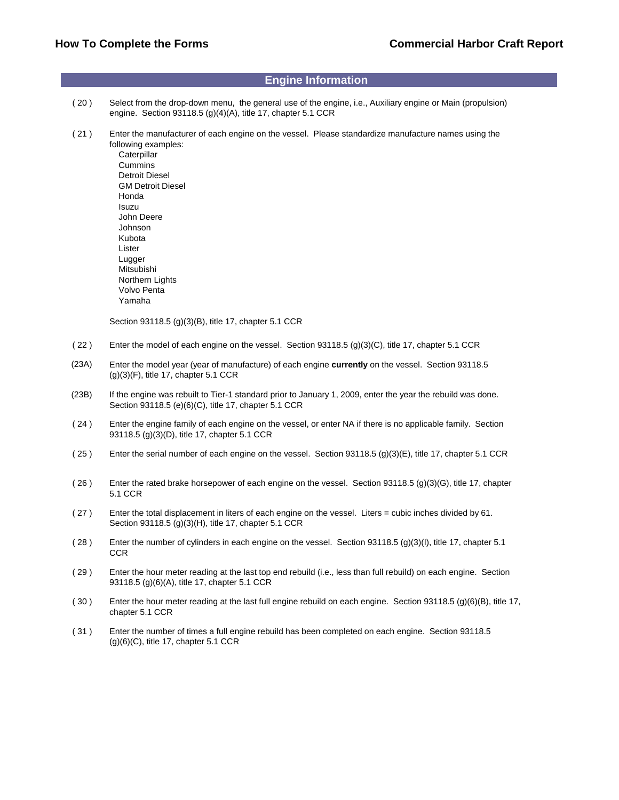#### **Engine Information**

- ( 20 ) Select from the drop-down menu, the general use of the engine, i.e., Auxiliary engine or Main (propulsion) engine. Section 93118.5 (g)(4)(A), title 17, chapter 5.1 CCR
- ( 21 ) Enter the manufacturer of each engine on the vessel. Please standardize manufacture names using the following examples:

**Caterpillar**  Cummins Detroit Diesel GM Detroit Diesel Honda Isuzu John Deere Johnson Kubota Lister Lugger Mitsubishi Northern Lights Volvo Penta Yamaha

Section 93118.5 (g)(3)(B), title 17, chapter 5.1 CCR

- ( 22 ) Enter the model of each engine on the vessel. Section 93118.5 (g)(3)(C), title 17, chapter 5.1 CCR
- (23A) Enter the model year (year of manufacture) of each engine **currently** on the vessel. Section 93118.5  $(g)(3)(F)$ , title 17, chapter 5.1 CCR
- (23B) If the engine was rebuilt to Tier-1 standard prior to January 1, 2009, enter the year the rebuild was done. Section 93118.5 (e)(6)(C), title 17, chapter 5.1 CCR
- ( 24 ) Enter the engine family of each engine on the vessel, or enter NA if there is no applicable family. Section 93118.5 (g)(3)(D), title 17, chapter 5.1 CCR
- ( 25 ) Enter the serial number of each engine on the vessel. Section 93118.5 (g)(3)(E), title 17, chapter 5.1 CCR
- ( 26 ) Enter the rated brake horsepower of each engine on the vessel. Section 93118.5 (g)(3)(G), title 17, chapter 5.1 CCR
- ( 27 ) Enter the total displacement in liters of each engine on the vessel. Liters = cubic inches divided by 61. Section 93118.5 (g)(3)(H), title 17, chapter 5.1 CCR
- ( 28 ) Enter the number of cylinders in each engine on the vessel. Section 93118.5 (g)(3)(I), title 17, chapter 5.1 **CCR**
- ( 29 ) Enter the hour meter reading at the last top end rebuild (i.e., less than full rebuild) on each engine. Section 93118.5 (g)(6)(A), title 17, chapter 5.1 CCR
- $(30)$  Enter the hour meter reading at the last full engine rebuild on each engine. Section 93118.5 (g)(6)(B), title 17, chapter 5.1 CCR
- ( 31 ) Enter the number of times a full engine rebuild has been completed on each engine. Section 93118.5  $(g)(6)(C)$ , title 17, chapter 5.1 CCR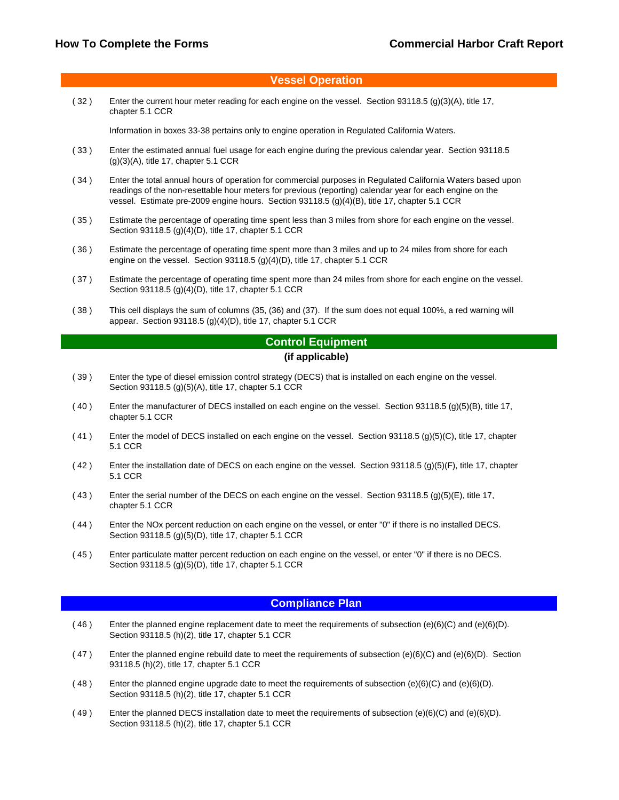### **Vessel Operation**

( 32 ) Enter the current hour meter reading for each engine on the vessel. Section 93118.5 (g)(3)(A), title 17, chapter 5.1 CCR

Information in boxes 33-38 pertains only to engine operation in Regulated California Waters.

- ( 33 ) Enter the estimated annual fuel usage for each engine during the previous calendar year. Section 93118.5 (g)(3)(A), title 17, chapter 5.1 CCR
- ( 34 ) Enter the total annual hours of operation for commercial purposes in Regulated California Waters based upon readings of the non-resettable hour meters for previous (reporting) calendar year for each engine on the vessel. Estimate pre-2009 engine hours. Section 93118.5 (g)(4)(B), title 17, chapter 5.1 CCR
- ( 35 ) Estimate the percentage of operating time spent less than 3 miles from shore for each engine on the vessel. Section 93118.5 (g)(4)(D), title 17, chapter 5.1 CCR
- ( 36 ) Estimate the percentage of operating time spent more than 3 miles and up to 24 miles from shore for each engine on the vessel. Section 93118.5 (g)(4)(D), title 17, chapter 5.1 CCR
- ( 37 ) Estimate the percentage of operating time spent more than 24 miles from shore for each engine on the vessel. Section 93118.5 (g)(4)(D), title 17, chapter 5.1 CCR
- ( 38 ) This cell displays the sum of columns (35, (36) and (37). If the sum does not equal 100%, a red warning will appear. Section 93118.5 (g)(4)(D), title 17, chapter 5.1 CCR

#### **Control Equipment**

#### **(if applicable)**

- ( 39 ) Enter the type of diesel emission control strategy (DECS) that is installed on each engine on the vessel. Section 93118.5 (g)(5)(A), title 17, chapter 5.1 CCR
- ( 40 ) Enter the manufacturer of DECS installed on each engine on the vessel. Section 93118.5 (g)(5)(B), title 17, chapter 5.1 CCR
- ( 41 ) Enter the model of DECS installed on each engine on the vessel. Section 93118.5 (g)(5)(C), title 17, chapter 5.1 CCR
- ( 42 ) Enter the installation date of DECS on each engine on the vessel. Section 93118.5 (g)(5)(F), title 17, chapter 5.1 CCR
- ( 43 ) Enter the serial number of the DECS on each engine on the vessel. Section 93118.5 (g)(5)(E), title 17, chapter 5.1 CCR
- ( 44 ) Enter the NOx percent reduction on each engine on the vessel, or enter "0" if there is no installed DECS. Section 93118.5 (g)(5)(D), title 17, chapter 5.1 CCR
- ( 45 ) Enter particulate matter percent reduction on each engine on the vessel, or enter "0" if there is no DECS. Section 93118.5 (g)(5)(D), title 17, chapter 5.1 CCR

#### **Compliance Plan**

- $(46)$  Enter the planned engine replacement date to meet the requirements of subsection  $(e)(6)(C)$  and  $(e)(6)(D)$ . Section 93118.5 (h)(2), title 17, chapter 5.1 CCR
- ( 47 ) Enter the planned engine rebuild date to meet the requirements of subsection (e)(6)(C) and (e)(6)(D). Section 93118.5 (h)(2), title 17, chapter 5.1 CCR
- $(48)$  Enter the planned engine upgrade date to meet the requirements of subsection  $(e)(6)(C)$  and  $(e)(6)(D)$ . Section 93118.5 (h)(2), title 17, chapter 5.1 CCR
- ( 49 ) Enter the planned DECS installation date to meet the requirements of subsection (e)(6)(C) and (e)(6)(D). Section 93118.5 (h)(2), title 17, chapter 5.1 CCR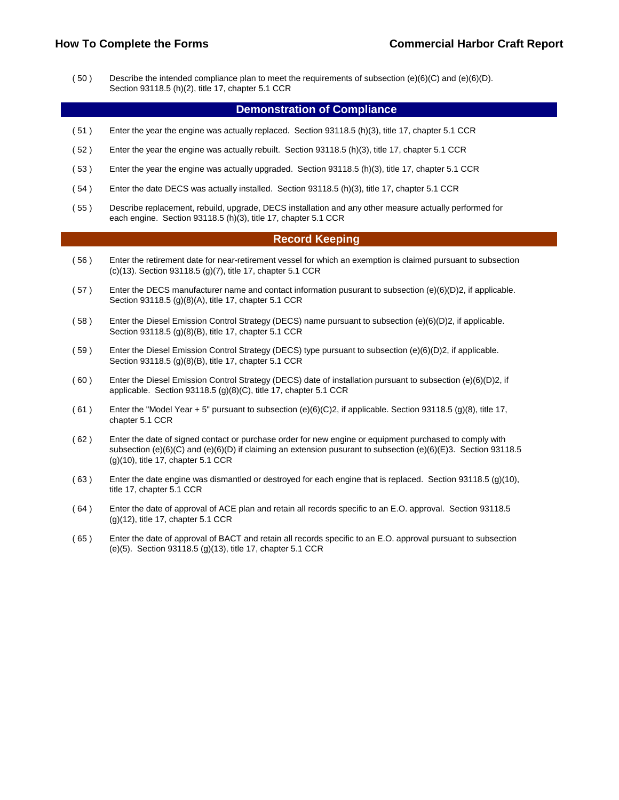( 50 ) Describe the intended compliance plan to meet the requirements of subsection (e)(6)(C) and (e)(6)(D). Section 93118.5 (h)(2), title 17, chapter 5.1 CCR

#### **Demonstration of Compliance**

- ( 51 ) Enter the year the engine was actually replaced. Section 93118.5 (h)(3), title 17, chapter 5.1 CCR
- ( 52 ) Enter the year the engine was actually rebuilt. Section 93118.5 (h)(3), title 17, chapter 5.1 CCR
- ( 53 ) Enter the year the engine was actually upgraded. Section 93118.5 (h)(3), title 17, chapter 5.1 CCR
- ( 54 ) Enter the date DECS was actually installed. Section 93118.5 (h)(3), title 17, chapter 5.1 CCR
- ( 55 ) Describe replacement, rebuild, upgrade, DECS installation and any other measure actually performed for each engine. Section 93118.5 (h)(3), title 17, chapter 5.1 CCR

#### **Record Keeping**

- ( 56 ) Enter the retirement date for near-retirement vessel for which an exemption is claimed pursuant to subsection (c)(13). Section 93118.5 (g)(7), title 17, chapter 5.1 CCR
- $(57)$  Enter the DECS manufacturer name and contact information pusurant to subsection  $(e)(6)(D)2$ , if applicable. Section 93118.5 (g)(8)(A), title 17, chapter 5.1 CCR
- ( 58 ) Enter the Diesel Emission Control Strategy (DECS) name pursuant to subsection (e)(6)(D)2, if applicable. Section 93118.5 (g)(8)(B), title 17, chapter 5.1 CCR
- ( 59 ) Enter the Diesel Emission Control Strategy (DECS) type pursuant to subsection (e)(6)(D)2, if applicable. Section 93118.5 (g)(8)(B), title 17, chapter 5.1 CCR
- ( 60 ) Enter the Diesel Emission Control Strategy (DECS) date of installation pursuant to subsection (e)(6)(D)2, if applicable. Section 93118.5 (g)(8)(C), title 17, chapter 5.1 CCR
- $(61)$  Enter the "Model Year + 5" pursuant to subsection  $(e)(6)(C)2$ , if applicable. Section 93118.5 (g)(8), title 17, chapter 5.1 CCR
- ( 62 ) Enter the date of signed contact or purchase order for new engine or equipment purchased to comply with subsection (e)(6)(C) and (e)(6)(D) if claiming an extension pusurant to subsection (e)(6)(E)3. Section 93118.5 (g)(10), title 17, chapter 5.1 CCR
- ( 63 ) Enter the date engine was dismantled or destroyed for each engine that is replaced. Section 93118.5 (g)(10), title 17, chapter 5.1 CCR
- ( 64 ) Enter the date of approval of ACE plan and retain all records specific to an E.O. approval. Section 93118.5 (g)(12), title 17, chapter 5.1 CCR
- ( 65 ) Enter the date of approval of BACT and retain all records specific to an E.O. approval pursuant to subsection (e)(5). Section 93118.5 (g)(13), title 17, chapter 5.1 CCR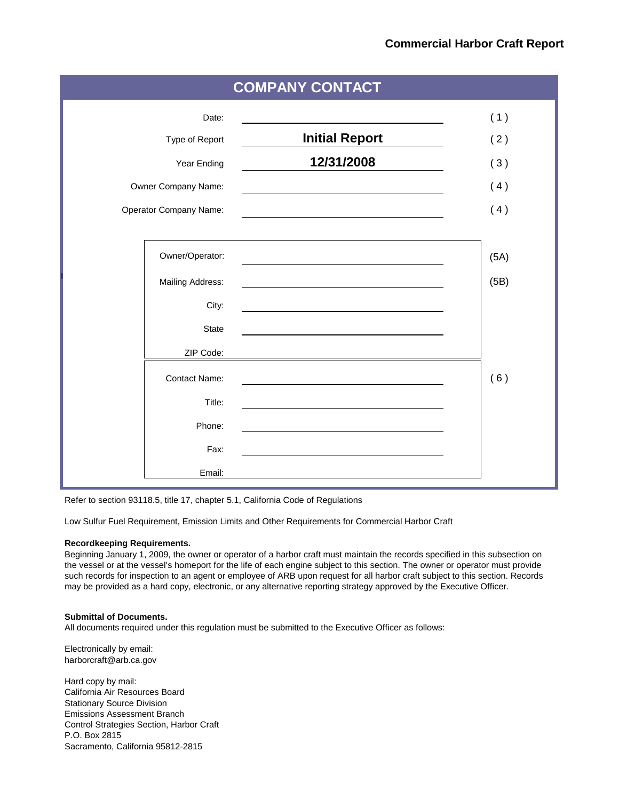| <b>COMPANY CONTACT</b>        |                       |      |  |  |  |  |  |  |  |
|-------------------------------|-----------------------|------|--|--|--|--|--|--|--|
| Date:                         |                       | (1)  |  |  |  |  |  |  |  |
| Type of Report                | <b>Initial Report</b> | (2)  |  |  |  |  |  |  |  |
| Year Ending                   | 12/31/2008            | (3)  |  |  |  |  |  |  |  |
| Owner Company Name:           |                       | (4)  |  |  |  |  |  |  |  |
| <b>Operator Company Name:</b> |                       | (4)  |  |  |  |  |  |  |  |
|                               |                       |      |  |  |  |  |  |  |  |
| Owner/Operator:               |                       | (5A) |  |  |  |  |  |  |  |
| Mailing Address:              |                       | (5B) |  |  |  |  |  |  |  |
| City:                         |                       |      |  |  |  |  |  |  |  |
| State                         |                       |      |  |  |  |  |  |  |  |
| ZIP Code:                     |                       |      |  |  |  |  |  |  |  |
| <b>Contact Name:</b>          |                       | (6)  |  |  |  |  |  |  |  |
| Title:                        |                       |      |  |  |  |  |  |  |  |
| Phone:                        |                       |      |  |  |  |  |  |  |  |
| Fax:                          |                       |      |  |  |  |  |  |  |  |
| Email:                        |                       |      |  |  |  |  |  |  |  |

Refer to section 93118.5, title 17, chapter 5.1, California Code of Regulations

Low Sulfur Fuel Requirement, Emission Limits and Other Requirements for Commercial Harbor Craft

#### **Recordkeeping Requirements.**

Beginning January 1, 2009, the owner or operator of a harbor craft must maintain the records specified in this subsection on the vessel or at the vessel's homeport for the life of each engine subject to this section. The owner or operator must provide such records for inspection to an agent or employee of ARB upon request for all harbor craft subject to this section. Records may be provided as a hard copy, electronic, or any alternative reporting strategy approved by the Executive Officer.

#### **Submittal of Documents.**

All documents required under this regulation must be submitted to the Executive Officer as follows:

Electronically by email: harborcraft@arb.ca.gov

Hard copy by mail: California Air Resources Board Stationary Source Division Emissions Assessment Branch Control Strategies Section, Harbor Craft P.O. Box 2815 Sacramento, California 95812-2815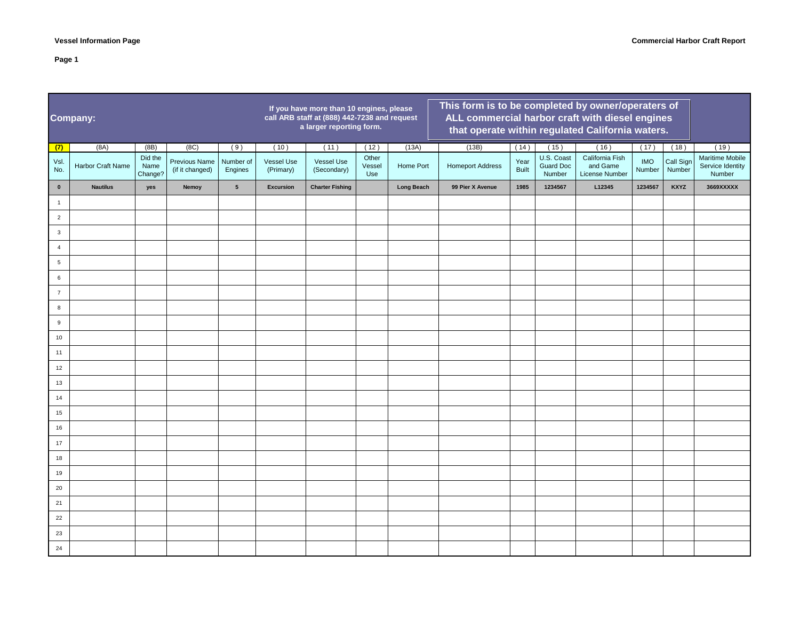|                | <b>Company:</b>   |                            |                                  |                      | If you have more than 10 engines, please<br>call ARB staff at (888) 442-7238 and request<br>a larger reporting form. | This form is to be completed by owner/operaters of<br>ALL commercial harbor craft with diesel engines<br>that operate within regulated California waters. |                        |                   |                         |                      |                                          |                                               |                      |                     |                                                      |
|----------------|-------------------|----------------------------|----------------------------------|----------------------|----------------------------------------------------------------------------------------------------------------------|-----------------------------------------------------------------------------------------------------------------------------------------------------------|------------------------|-------------------|-------------------------|----------------------|------------------------------------------|-----------------------------------------------|----------------------|---------------------|------------------------------------------------------|
| (7)            | (8A)              | (BB)                       | (8C)                             | (9)                  | (10)                                                                                                                 | (11)                                                                                                                                                      | (12)                   | (13A)             | (13B)                   | (14)                 | (15)                                     | (16)                                          | (17)                 | (18)                | (19)                                                 |
| Vsl.<br>No.    | Harbor Craft Name | Did the<br>Name<br>Change? | Previous Name<br>(if it changed) | Number of<br>Engines | <b>Vessel Use</b><br>(Primary)                                                                                       | Vessel Use<br>(Secondary)                                                                                                                                 | Other<br>Vessel<br>Use | Home Port         | <b>Homeport Address</b> | Year<br><b>Built</b> | U.S. Coast<br><b>Guard Doc</b><br>Number | California Fish<br>and Game<br>License Number | <b>IMO</b><br>Number | Call Sign<br>Number | <b>Maritime Mobile</b><br>Service Identity<br>Number |
| $\pmb{0}$      | <b>Nautilus</b>   | yes                        | Nemoy                            | $5\phantom{.0}$      | <b>Excursion</b>                                                                                                     | <b>Charter Fishing</b>                                                                                                                                    |                        | <b>Long Beach</b> | 99 Pier X Avenue        | 1985                 | 1234567                                  | L12345                                        | 1234567              | <b>KXYZ</b>         | 3669XXXXX                                            |
| $\overline{1}$ |                   |                            |                                  |                      |                                                                                                                      |                                                                                                                                                           |                        |                   |                         |                      |                                          |                                               |                      |                     |                                                      |
| $\overline{2}$ |                   |                            |                                  |                      |                                                                                                                      |                                                                                                                                                           |                        |                   |                         |                      |                                          |                                               |                      |                     |                                                      |
| $\mathbf{3}$   |                   |                            |                                  |                      |                                                                                                                      |                                                                                                                                                           |                        |                   |                         |                      |                                          |                                               |                      |                     |                                                      |
| $\overline{4}$ |                   |                            |                                  |                      |                                                                                                                      |                                                                                                                                                           |                        |                   |                         |                      |                                          |                                               |                      |                     |                                                      |
| 5              |                   |                            |                                  |                      |                                                                                                                      |                                                                                                                                                           |                        |                   |                         |                      |                                          |                                               |                      |                     |                                                      |
| 6              |                   |                            |                                  |                      |                                                                                                                      |                                                                                                                                                           |                        |                   |                         |                      |                                          |                                               |                      |                     |                                                      |
| $\overline{7}$ |                   |                            |                                  |                      |                                                                                                                      |                                                                                                                                                           |                        |                   |                         |                      |                                          |                                               |                      |                     |                                                      |
| 8              |                   |                            |                                  |                      |                                                                                                                      |                                                                                                                                                           |                        |                   |                         |                      |                                          |                                               |                      |                     |                                                      |
| 9              |                   |                            |                                  |                      |                                                                                                                      |                                                                                                                                                           |                        |                   |                         |                      |                                          |                                               |                      |                     |                                                      |
| 10             |                   |                            |                                  |                      |                                                                                                                      |                                                                                                                                                           |                        |                   |                         |                      |                                          |                                               |                      |                     |                                                      |
| 11             |                   |                            |                                  |                      |                                                                                                                      |                                                                                                                                                           |                        |                   |                         |                      |                                          |                                               |                      |                     |                                                      |
| 12             |                   |                            |                                  |                      |                                                                                                                      |                                                                                                                                                           |                        |                   |                         |                      |                                          |                                               |                      |                     |                                                      |
| 13             |                   |                            |                                  |                      |                                                                                                                      |                                                                                                                                                           |                        |                   |                         |                      |                                          |                                               |                      |                     |                                                      |
| 14             |                   |                            |                                  |                      |                                                                                                                      |                                                                                                                                                           |                        |                   |                         |                      |                                          |                                               |                      |                     |                                                      |
| 15             |                   |                            |                                  |                      |                                                                                                                      |                                                                                                                                                           |                        |                   |                         |                      |                                          |                                               |                      |                     |                                                      |
| 16             |                   |                            |                                  |                      |                                                                                                                      |                                                                                                                                                           |                        |                   |                         |                      |                                          |                                               |                      |                     |                                                      |
| $17$           |                   |                            |                                  |                      |                                                                                                                      |                                                                                                                                                           |                        |                   |                         |                      |                                          |                                               |                      |                     |                                                      |
| 18             |                   |                            |                                  |                      |                                                                                                                      |                                                                                                                                                           |                        |                   |                         |                      |                                          |                                               |                      |                     |                                                      |
| 19             |                   |                            |                                  |                      |                                                                                                                      |                                                                                                                                                           |                        |                   |                         |                      |                                          |                                               |                      |                     |                                                      |
| 20             |                   |                            |                                  |                      |                                                                                                                      |                                                                                                                                                           |                        |                   |                         |                      |                                          |                                               |                      |                     |                                                      |
| 21             |                   |                            |                                  |                      |                                                                                                                      |                                                                                                                                                           |                        |                   |                         |                      |                                          |                                               |                      |                     |                                                      |
| 22             |                   |                            |                                  |                      |                                                                                                                      |                                                                                                                                                           |                        |                   |                         |                      |                                          |                                               |                      |                     |                                                      |
| 23             |                   |                            |                                  |                      |                                                                                                                      |                                                                                                                                                           |                        |                   |                         |                      |                                          |                                               |                      |                     |                                                      |
| 24             |                   |                            |                                  |                      |                                                                                                                      |                                                                                                                                                           |                        |                   |                         |                      |                                          |                                               |                      |                     |                                                      |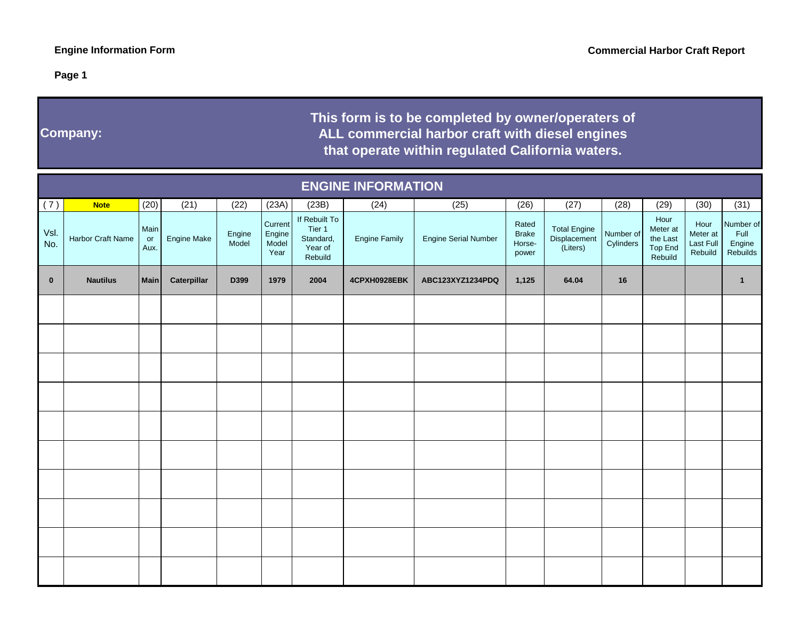**Company:**

# **This form is to be completed by owner/operaters of ALL commercial harbor craft with diesel enginesthat operate within regulated California waters.**

|             | <b>ENGINE INFORMATION</b> |                    |             |                 |                                    |                                                            |                      |                             |                                          |                                                 |                        |                                                           |                                          |                                         |
|-------------|---------------------------|--------------------|-------------|-----------------|------------------------------------|------------------------------------------------------------|----------------------|-----------------------------|------------------------------------------|-------------------------------------------------|------------------------|-----------------------------------------------------------|------------------------------------------|-----------------------------------------|
| (7)         | <b>Note</b>               | (20)               | (21)        | (22)            | (23A)                              | (23B)                                                      | (24)                 | (25)                        | (26)                                     | (27)                                            | (28)                   | (29)                                                      | (30)                                     | (31)                                    |
| Vsl.<br>No. | Harbor Craft Name         | Main<br>or<br>Aux. | Engine Make | Engine<br>Model | Current<br>Engine<br>Model<br>Year | If Rebuilt To<br>Tier 1<br>Standard,<br>Year of<br>Rebuild | <b>Engine Family</b> | <b>Engine Serial Number</b> | Rated<br><b>Brake</b><br>Horse-<br>power | <b>Total Engine</b><br>Displacement<br>(Liters) | Number of<br>Cylinders | Hour<br>Meter at<br>the Last<br><b>Top End</b><br>Rebuild | Hour<br>Meter at<br>Last Full<br>Rebuild | Number of<br>Full<br>Engine<br>Rebuilds |
| $\bf{0}$    | <b>Nautilus</b>           | <b>Main</b>        | Caterpillar | D399            | 1979                               | 2004                                                       | 4CPXH0928EBK         | ABC123XYZ1234PDQ            | 1,125                                    | 64.04                                           | 16                     |                                                           |                                          | $\mathbf{1}$                            |
|             |                           |                    |             |                 |                                    |                                                            |                      |                             |                                          |                                                 |                        |                                                           |                                          |                                         |
|             |                           |                    |             |                 |                                    |                                                            |                      |                             |                                          |                                                 |                        |                                                           |                                          |                                         |
|             |                           |                    |             |                 |                                    |                                                            |                      |                             |                                          |                                                 |                        |                                                           |                                          |                                         |
|             |                           |                    |             |                 |                                    |                                                            |                      |                             |                                          |                                                 |                        |                                                           |                                          |                                         |
|             |                           |                    |             |                 |                                    |                                                            |                      |                             |                                          |                                                 |                        |                                                           |                                          |                                         |
|             |                           |                    |             |                 |                                    |                                                            |                      |                             |                                          |                                                 |                        |                                                           |                                          |                                         |
|             |                           |                    |             |                 |                                    |                                                            |                      |                             |                                          |                                                 |                        |                                                           |                                          |                                         |
|             |                           |                    |             |                 |                                    |                                                            |                      |                             |                                          |                                                 |                        |                                                           |                                          |                                         |
|             |                           |                    |             |                 |                                    |                                                            |                      |                             |                                          |                                                 |                        |                                                           |                                          |                                         |
|             |                           |                    |             |                 |                                    |                                                            |                      |                             |                                          |                                                 |                        |                                                           |                                          |                                         |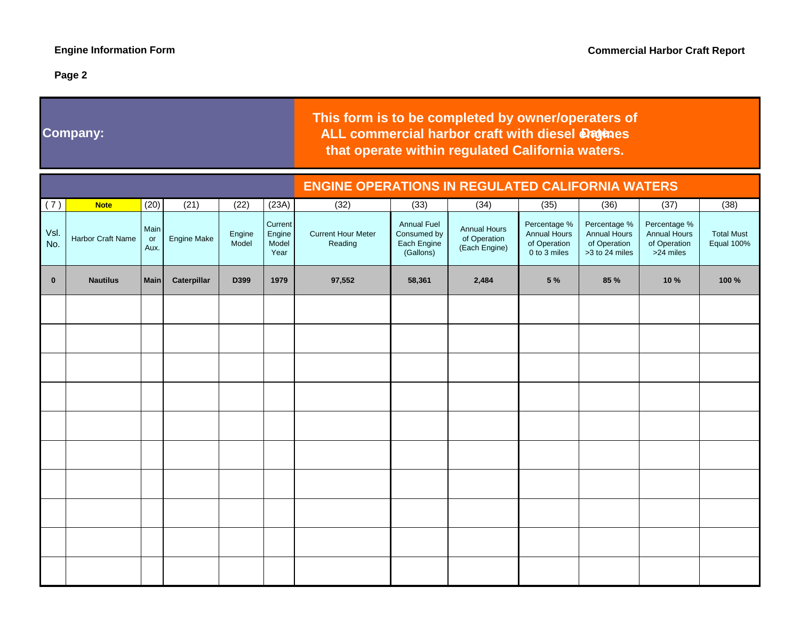## **Company:**

# **ALL commercial harbor craft with diesel dragenes that operate within regulated California waters.This form is to be completed by owner/operaters of**

|              |                   |                    |                    |                 |                                    | <b>ENGINE OPERATIONS IN REGULATED CALIFORNIA WATERS</b> |                                                               |                                                      |                                                                     |                                                                       |                                                                  |                                        |  |  |  |  |
|--------------|-------------------|--------------------|--------------------|-----------------|------------------------------------|---------------------------------------------------------|---------------------------------------------------------------|------------------------------------------------------|---------------------------------------------------------------------|-----------------------------------------------------------------------|------------------------------------------------------------------|----------------------------------------|--|--|--|--|
| (7)          | <b>Note</b>       | (20)               | (21)               | (22)            | (23A)                              | (32)                                                    | (33)                                                          | (34)                                                 | (35)                                                                | (36)                                                                  | (37)                                                             | (38)                                   |  |  |  |  |
| Vsl.<br>No.  | Harbor Craft Name | Main<br>or<br>Aux. | <b>Engine Make</b> | Engine<br>Model | Current<br>Engine<br>Model<br>Year | <b>Current Hour Meter</b><br>Reading                    | <b>Annual Fuel</b><br>Consumed by<br>Each Engine<br>(Gallons) | <b>Annual Hours</b><br>of Operation<br>(Each Engine) | Percentage %<br><b>Annual Hours</b><br>of Operation<br>0 to 3 miles | Percentage %<br><b>Annual Hours</b><br>of Operation<br>>3 to 24 miles | Percentage %<br><b>Annual Hours</b><br>of Operation<br>>24 miles | <b>Total Must</b><br><b>Equal 100%</b> |  |  |  |  |
| $\mathbf{0}$ | <b>Nautilus</b>   | <b>Main</b>        | Caterpillar        | D399            | 1979                               | 97,552                                                  | 58,361                                                        | 2,484                                                | 5 %                                                                 | 85 %                                                                  | 10 %                                                             | 100 %                                  |  |  |  |  |
|              |                   |                    |                    |                 |                                    |                                                         |                                                               |                                                      |                                                                     |                                                                       |                                                                  |                                        |  |  |  |  |
|              |                   |                    |                    |                 |                                    |                                                         |                                                               |                                                      |                                                                     |                                                                       |                                                                  |                                        |  |  |  |  |
|              |                   |                    |                    |                 |                                    |                                                         |                                                               |                                                      |                                                                     |                                                                       |                                                                  |                                        |  |  |  |  |
|              |                   |                    |                    |                 |                                    |                                                         |                                                               |                                                      |                                                                     |                                                                       |                                                                  |                                        |  |  |  |  |
|              |                   |                    |                    |                 |                                    |                                                         |                                                               |                                                      |                                                                     |                                                                       |                                                                  |                                        |  |  |  |  |
|              |                   |                    |                    |                 |                                    |                                                         |                                                               |                                                      |                                                                     |                                                                       |                                                                  |                                        |  |  |  |  |
|              |                   |                    |                    |                 |                                    |                                                         |                                                               |                                                      |                                                                     |                                                                       |                                                                  |                                        |  |  |  |  |
|              |                   |                    |                    |                 |                                    |                                                         |                                                               |                                                      |                                                                     |                                                                       |                                                                  |                                        |  |  |  |  |
|              |                   |                    |                    |                 |                                    |                                                         |                                                               |                                                      |                                                                     |                                                                       |                                                                  |                                        |  |  |  |  |
|              |                   |                    |                    |                 |                                    |                                                         |                                                               |                                                      |                                                                     |                                                                       |                                                                  |                                        |  |  |  |  |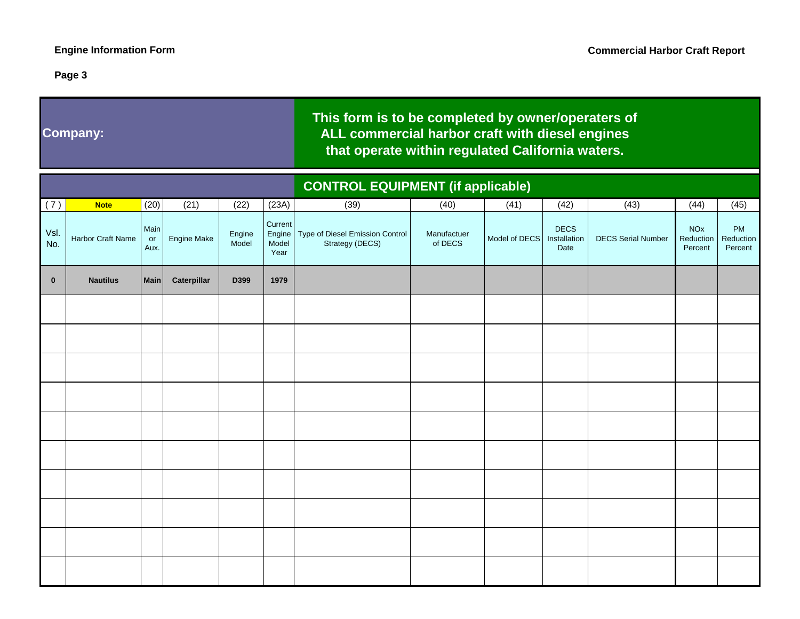## **Company:**

# **This form is to be completed by owner/operaters of ALL commercial harbor craft with diesel enginesthat operate within regulated California waters.**

|             |                   |                    |                    |                 |                                    |                                                    | <b>CONTROL EQUIPMENT (if applicable)</b> |               |                                     |                           |                                               |                            |  |  |  |  |
|-------------|-------------------|--------------------|--------------------|-----------------|------------------------------------|----------------------------------------------------|------------------------------------------|---------------|-------------------------------------|---------------------------|-----------------------------------------------|----------------------------|--|--|--|--|
| (7)         | <b>Note</b>       | (20)               | (21)               | (22)            | (23A)                              | (39)                                               | (40)                                     | (41)          | (42)                                | (43)                      | (44)                                          | (45)                       |  |  |  |  |
| Vsl.<br>No. | Harbor Craft Name | Main<br>or<br>Aux. | <b>Engine Make</b> | Engine<br>Model | Current<br>Engine<br>Model<br>Year | Type of Diesel Emission Control<br>Strategy (DECS) | Manufactuer<br>of DECS                   | Model of DECS | <b>DECS</b><br>Installation<br>Date | <b>DECS Serial Number</b> | <b>NO<sub>x</sub></b><br>Reduction<br>Percent | PM<br>Reduction<br>Percent |  |  |  |  |
| $\bf{0}$    | <b>Nautilus</b>   | <b>Main</b>        | Caterpillar        | D399            | 1979                               |                                                    |                                          |               |                                     |                           |                                               |                            |  |  |  |  |
|             |                   |                    |                    |                 |                                    |                                                    |                                          |               |                                     |                           |                                               |                            |  |  |  |  |
|             |                   |                    |                    |                 |                                    |                                                    |                                          |               |                                     |                           |                                               |                            |  |  |  |  |
|             |                   |                    |                    |                 |                                    |                                                    |                                          |               |                                     |                           |                                               |                            |  |  |  |  |
|             |                   |                    |                    |                 |                                    |                                                    |                                          |               |                                     |                           |                                               |                            |  |  |  |  |
|             |                   |                    |                    |                 |                                    |                                                    |                                          |               |                                     |                           |                                               |                            |  |  |  |  |
|             |                   |                    |                    |                 |                                    |                                                    |                                          |               |                                     |                           |                                               |                            |  |  |  |  |
|             |                   |                    |                    |                 |                                    |                                                    |                                          |               |                                     |                           |                                               |                            |  |  |  |  |
|             |                   |                    |                    |                 |                                    |                                                    |                                          |               |                                     |                           |                                               |                            |  |  |  |  |
|             |                   |                    |                    |                 |                                    |                                                    |                                          |               |                                     |                           |                                               |                            |  |  |  |  |
|             |                   |                    |                    |                 |                                    |                                                    |                                          |               |                                     |                           |                                               |                            |  |  |  |  |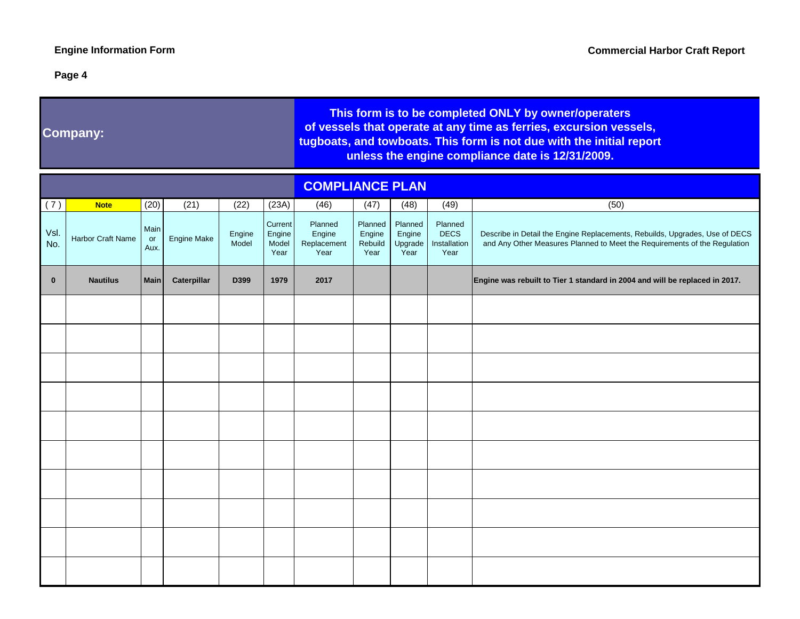a sa kacamatan ing Kabupatèn Kabupatèn Kabupatèn Kabupatèn Kabupatèn Kabupatèn Kabupatèn Kabupatèn Kabupatèn K

## **Page 4**

<u> 1980 - Johann Barnett, mars et al. 1980 - </u>

|              | <b>Company:</b>   |                    |                    |                 |                                    | This form is to be completed ONLY by owner/operaters<br>of vessels that operate at any time as ferries, excursion vessels,<br>tugboats, and towboats. This form is not due with the initial report<br>unless the engine compliance date is 12/31/2009. |                                      |                                      |                                                |                                                                                                                                                          |  |  |  |
|--------------|-------------------|--------------------|--------------------|-----------------|------------------------------------|--------------------------------------------------------------------------------------------------------------------------------------------------------------------------------------------------------------------------------------------------------|--------------------------------------|--------------------------------------|------------------------------------------------|----------------------------------------------------------------------------------------------------------------------------------------------------------|--|--|--|
|              |                   |                    |                    |                 |                                    | <b>COMPLIANCE PLAN</b>                                                                                                                                                                                                                                 |                                      |                                      |                                                |                                                                                                                                                          |  |  |  |
| (7)          | <b>Note</b>       | (20)               | (21)               | (22)            | (23A)                              | (46)                                                                                                                                                                                                                                                   | (47)                                 | (48)                                 | (49)                                           | (50)                                                                                                                                                     |  |  |  |
| Vsl.<br>No.  | Harbor Craft Name | Main<br>or<br>Aux. | <b>Engine Make</b> | Engine<br>Model | Current<br>Engine<br>Model<br>Year | Planned<br>Engine<br>Replacement<br>Year                                                                                                                                                                                                               | Planned<br>Engine<br>Rebuild<br>Year | Planned<br>Engine<br>Upgrade<br>Year | Planned<br><b>DECS</b><br>Installation<br>Year | Describe in Detail the Engine Replacements, Rebuilds, Upgrades, Use of DECS<br>and Any Other Measures Planned to Meet the Requirements of the Regulation |  |  |  |
| $\mathbf{0}$ | <b>Nautilus</b>   | <b>Main</b>        | Caterpillar        | D399            | 1979                               | 2017                                                                                                                                                                                                                                                   |                                      |                                      |                                                | Engine was rebuilt to Tier 1 standard in 2004 and will be replaced in 2017.                                                                              |  |  |  |
|              |                   |                    |                    |                 |                                    |                                                                                                                                                                                                                                                        |                                      |                                      |                                                |                                                                                                                                                          |  |  |  |
|              |                   |                    |                    |                 |                                    |                                                                                                                                                                                                                                                        |                                      |                                      |                                                |                                                                                                                                                          |  |  |  |
|              |                   |                    |                    |                 |                                    |                                                                                                                                                                                                                                                        |                                      |                                      |                                                |                                                                                                                                                          |  |  |  |
|              |                   |                    |                    |                 |                                    |                                                                                                                                                                                                                                                        |                                      |                                      |                                                |                                                                                                                                                          |  |  |  |
|              |                   |                    |                    |                 |                                    |                                                                                                                                                                                                                                                        |                                      |                                      |                                                |                                                                                                                                                          |  |  |  |
|              |                   |                    |                    |                 |                                    |                                                                                                                                                                                                                                                        |                                      |                                      |                                                |                                                                                                                                                          |  |  |  |
|              |                   |                    |                    |                 |                                    |                                                                                                                                                                                                                                                        |                                      |                                      |                                                |                                                                                                                                                          |  |  |  |
|              |                   |                    |                    |                 |                                    |                                                                                                                                                                                                                                                        |                                      |                                      |                                                |                                                                                                                                                          |  |  |  |
|              |                   |                    |                    |                 |                                    |                                                                                                                                                                                                                                                        |                                      |                                      |                                                |                                                                                                                                                          |  |  |  |
|              |                   |                    |                    |                 |                                    |                                                                                                                                                                                                                                                        |                                      |                                      |                                                |                                                                                                                                                          |  |  |  |